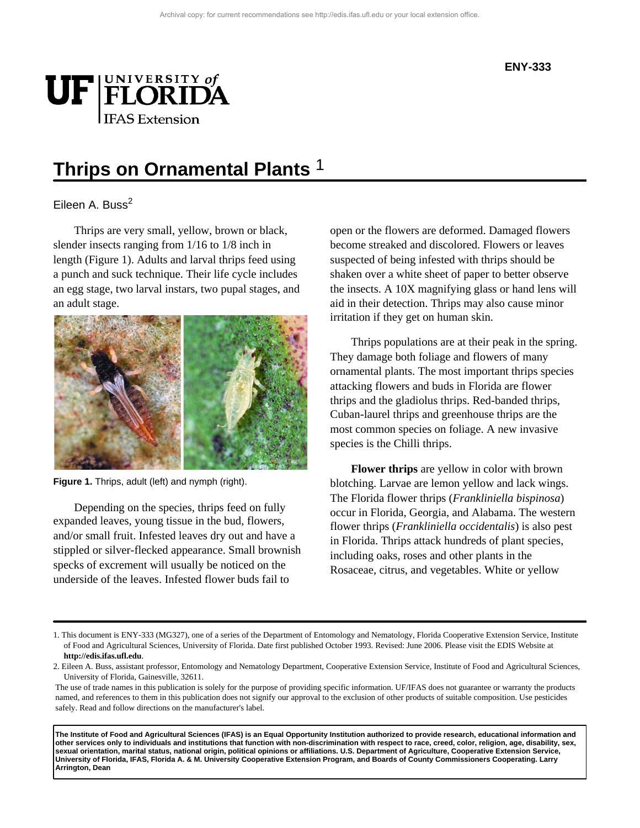

# **Thrips on Ornamental Plants** 1

### Eileen A. Buss $<sup>2</sup>$ </sup>

Thrips are very small, yellow, brown or black, slender insects ranging from 1/16 to 1/8 inch in length (Figure 1). Adults and larval thrips feed using a punch and suck technique. Their life cycle includes an egg stage, two larval instars, two pupal stages, and an adult stage.



**Figure 1.** Thrips, adult (left) and nymph (right).

Depending on the species, thrips feed on fully expanded leaves, young tissue in the bud, flowers, and/or small fruit. Infested leaves dry out and have a stippled or silver-flecked appearance. Small brownish specks of excrement will usually be noticed on the underside of the leaves. Infested flower buds fail to

open or the flowers are deformed. Damaged flowers become streaked and discolored. Flowers or leaves suspected of being infested with thrips should be shaken over a white sheet of paper to better observe the insects. A 10X magnifying glass or hand lens will aid in their detection. Thrips may also cause minor irritation if they get on human skin.

Thrips populations are at their peak in the spring. They damage both foliage and flowers of many ornamental plants. The most important thrips species attacking flowers and buds in Florida are flower thrips and the gladiolus thrips. Red-banded thrips, Cuban-laurel thrips and greenhouse thrips are the most common species on foliage. A new invasive species is the Chilli thrips.

**Flower thrips** are yellow in color with brown blotching. Larvae are lemon yellow and lack wings. The Florida flower thrips (*Frankliniella bispinosa*) occur in Florida, Georgia, and Alabama. The western flower thrips (*Frankliniella occidentalis*) is also pest in Florida. Thrips attack hundreds of plant species, including oaks, roses and other plants in the Rosaceae, citrus, and vegetables. White or yellow

**The Institute of Food and Agricultural Sciences (IFAS) is an Equal Opportunity Institution authorized to provide research, educational information and other services only to individuals and institutions that function with non-discrimination with respect to race, creed, color, religion, age, disability, sex, sexual orientation, marital status, national origin, political opinions or affiliations. U.S. Department of Agriculture, Cooperative Extension Service, University of Florida, IFAS, Florida A. & M. University Cooperative Extension Program, and Boards of County Commissioners Cooperating. Larry Arrington, Dean**

<sup>1.</sup> This document is ENY-333 (MG327), one of a series of the Department of Entomology and Nematology, Florida Cooperative Extension Service, Institute of Food and Agricultural Sciences, University of Florida. Date first published October 1993. Revised: June 2006. Please visit the EDIS Website at **http://edis.ifas.ufl.edu**.

<sup>2.</sup> Eileen A. Buss, assistant professor, Entomology and Nematology Department, Cooperative Extension Service, Institute of Food and Agricultural Sciences, University of Florida, Gainesville, 32611.

The use of trade names in this publication is solely for the purpose of providing specific information. UF/IFAS does not guarantee or warranty the products named, and references to them in this publication does not signify our approval to the exclusion of other products of suitable composition. Use pesticides safely. Read and follow directions on the manufacturer's label.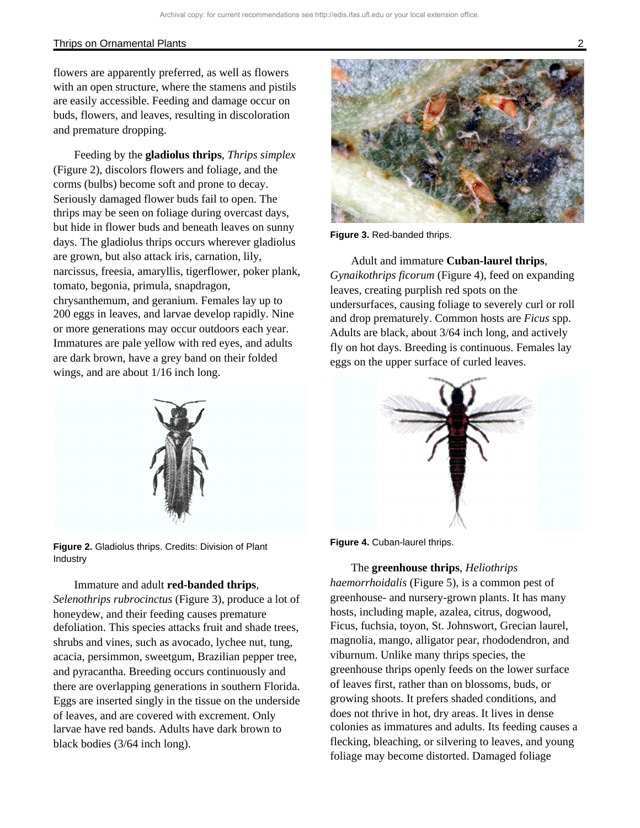#### Thrips on Ornamental Plants 2

flowers are apparently preferred, as well as flowers with an open structure, where the stamens and pistils are easily accessible. Feeding and damage occur on buds, flowers, and leaves, resulting in discoloration and premature dropping.

Feeding by the **gladiolus thrips**, *Thrips simplex* (Figure 2), discolors flowers and foliage, and the corms (bulbs) become soft and prone to decay. Seriously damaged flower buds fail to open. The thrips may be seen on foliage during overcast days, but hide in flower buds and beneath leaves on sunny days. The gladiolus thrips occurs wherever gladiolus are grown, but also attack iris, carnation, lily, narcissus, freesia, amaryllis, tigerflower, poker plank, tomato, begonia, primula, snapdragon, chrysanthemum, and geranium. Females lay up to 200 eggs in leaves, and larvae develop rapidly. Nine or more generations may occur outdoors each year. Immatures are pale yellow with red eyes, and adults are dark brown, have a grey band on their folded wings, and are about 1/16 inch long.



**Figure 2.** Gladiolus thrips. Credits: Division of Plant Industry

#### Immature and adult **red-banded thrips**,

*Selenothrips rubrocinctus* (Figure 3), produce a lot of honeydew, and their feeding causes premature defoliation. This species attacks fruit and shade trees, shrubs and vines, such as avocado, lychee nut, tung, acacia, persimmon, sweetgum, Brazilian pepper tree, and pyracantha. Breeding occurs continuously and there are overlapping generations in southern Florida. Eggs are inserted singly in the tissue on the underside of leaves, and are covered with excrement. Only larvae have red bands. Adults have dark brown to black bodies (3/64 inch long).



**Figure 3.** Red-banded thrips.

Adult and immature **Cuban-laurel thrips**, *Gynaikothrips ficorum* (Figure 4), feed on expanding leaves, creating purplish red spots on the undersurfaces, causing foliage to severely curl or roll and drop prematurely. Common hosts are *Ficus* spp. Adults are black, about 3/64 inch long, and actively fly on hot days. Breeding is continuous. Females lay eggs on the upper surface of curled leaves.





#### The **greenhouse thrips**, *Heliothrips*

*haemorrhoidalis* (Figure 5), is a common pest of greenhouse- and nursery-grown plants. It has many hosts, including maple, azalea, citrus, dogwood, Ficus, fuchsia, toyon, St. Johnswort, Grecian laurel, magnolia, mango, alligator pear, rhododendron, and viburnum. Unlike many thrips species, the greenhouse thrips openly feeds on the lower surface of leaves first, rather than on blossoms, buds, or growing shoots. It prefers shaded conditions, and does not thrive in hot, dry areas. It lives in dense colonies as immatures and adults. Its feeding causes a flecking, bleaching, or silvering to leaves, and young foliage may become distorted. Damaged foliage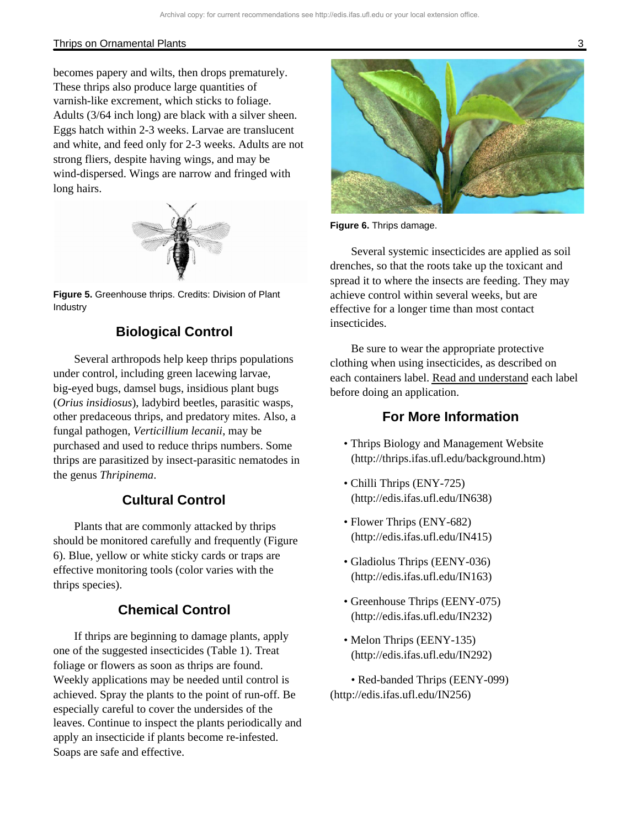#### Thrips on Ornamental Plants 3

becomes papery and wilts, then drops prematurely. These thrips also produce large quantities of varnish-like excrement, which sticks to foliage. Adults (3/64 inch long) are black with a silver sheen. Eggs hatch within 2-3 weeks. Larvae are translucent and white, and feed only for 2-3 weeks. Adults are not strong fliers, despite having wings, and may be wind-dispersed. Wings are narrow and fringed with long hairs.



**Figure 5.** Greenhouse thrips. Credits: Division of Plant Industry

# **Biological Control**

Several arthropods help keep thrips populations under control, including green lacewing larvae, big-eyed bugs, damsel bugs, insidious plant bugs (*Orius insidiosus*), ladybird beetles, parasitic wasps, other predaceous thrips, and predatory mites. Also, a fungal pathogen, *Verticillium lecanii*, may be purchased and used to reduce thrips numbers. Some thrips are parasitized by insect-parasitic nematodes in the genus *Thripinema*.

# **Cultural Control**

Plants that are commonly attacked by thrips should be monitored carefully and frequently (Figure 6). Blue, yellow or white sticky cards or traps are effective monitoring tools (color varies with the thrips species).

## **Chemical Control**

If thrips are beginning to damage plants, apply one of the suggested insecticides (Table 1). Treat foliage or flowers as soon as thrips are found. Weekly applications may be needed until control is achieved. Spray the plants to the point of run-off. Be especially careful to cover the undersides of the leaves. Continue to inspect the plants periodically and apply an insecticide if plants become re-infested. Soaps are safe and effective.



**Figure 6.** Thrips damage.

Several systemic insecticides are applied as soil drenches, so that the roots take up the toxicant and spread it to where the insects are feeding. They may achieve control within several weeks, but are effective for a longer time than most contact insecticides.

Be sure to wear the appropriate protective clothing when using insecticides, as described on each containers label. Read and understand each label before doing an application.

## **For More Information**

- Thrips Biology and Management Website (http://thrips.ifas.ufl.edu/background.htm)
- Chilli Thrips (ENY-725) (http://edis.ifas.ufl.edu/IN638)
- Flower Thrips (ENY-682) (http://edis.ifas.ufl.edu/IN415)
- Gladiolus Thrips (EENY-036) (http://edis.ifas.ufl.edu/IN163)
- Greenhouse Thrips (EENY-075) (http://edis.ifas.ufl.edu/IN232)
- Melon Thrips (EENY-135) (http://edis.ifas.ufl.edu/IN292)

• Red-banded Thrips (EENY-099) (http://edis.ifas.ufl.edu/IN256)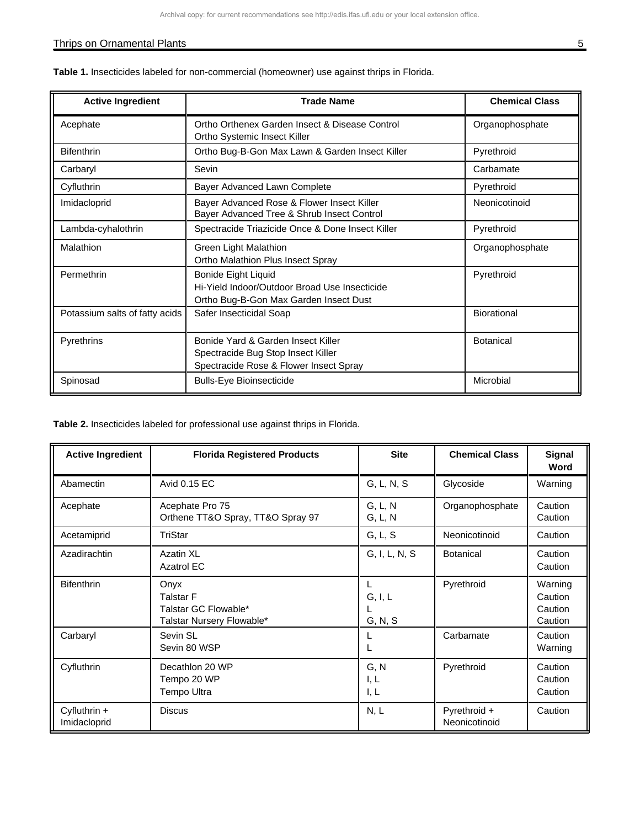## Thrips on Ornamental Plants 5 and 5 and 5 and 5 and 5 and 5 and 5 and 5 and 5 and 5 and 5 and 5 and 5 and 5 and 5 and 5 and 5 and 5 and 5 and 5 and 5 and 5 and 5 and 5 and 5 and 5 and 5 and 5 and 5 and 5 and 5 and 5 and 5

| <b>Active Ingredient</b>       | <b>Trade Name</b>                                                                                                     | <b>Chemical Class</b> |
|--------------------------------|-----------------------------------------------------------------------------------------------------------------------|-----------------------|
| Acephate                       | Ortho Orthenex Garden Insect & Disease Control<br>Ortho Systemic Insect Killer                                        | Organophosphate       |
| <b>Bifenthrin</b>              | Ortho Bug-B-Gon Max Lawn & Garden Insect Killer                                                                       | Pyrethroid            |
| Carbaryl                       | Sevin                                                                                                                 | Carbamate             |
| Cyfluthrin                     | Bayer Advanced Lawn Complete                                                                                          | Pyrethroid            |
| Imidacloprid                   | Bayer Advanced Rose & Flower Insect Killer<br>Bayer Advanced Tree & Shrub Insect Control                              | Neonicotinoid         |
| Lambda-cyhalothrin             | Spectracide Triazicide Once & Done Insect Killer                                                                      | Pyrethroid            |
| Malathion                      | Green Light Malathion<br>Ortho Malathion Plus Insect Spray                                                            | Organophosphate       |
| Permethrin                     | <b>Bonide Eight Liquid</b><br>Hi-Yield Indoor/Outdoor Broad Use Insecticide<br>Ortho Bug-B-Gon Max Garden Insect Dust | Pyrethroid            |
| Potassium salts of fatty acids | Safer Insecticidal Soap                                                                                               | Biorational           |
| Pyrethrins                     | Bonide Yard & Garden Insect Killer<br>Spectracide Bug Stop Insect Killer<br>Spectracide Rose & Flower Insect Spray    | <b>Botanical</b>      |
| Spinosad                       | <b>Bulls-Eye Bioinsecticide</b>                                                                                       | Microbial             |

**Table 1.** Insecticides labeled for non-commercial (homeowner) use against thrips in Florida.

**Table 2.** Insecticides labeled for professional use against thrips in Florida.

| <b>Active Ingredient</b>       | <b>Florida Registered Products</b>                                            | <b>Site</b>          | <b>Chemical Class</b>         | <b>Signal</b><br>Word                    |
|--------------------------------|-------------------------------------------------------------------------------|----------------------|-------------------------------|------------------------------------------|
| Abamectin                      | Avid 0.15 EC                                                                  | G, L, N, S           | Glycoside                     | Warning                                  |
| Acephate                       | Acephate Pro 75<br>Orthene TT&O Spray, TT&O Spray 97                          | G, L, N<br>G, L, N   | Organophosphate               | Caution<br>Caution                       |
| Acetamiprid                    | TriStar                                                                       | G, L, S              | Neonicotinoid                 | Caution                                  |
| Azadirachtin                   | Azatin XL<br><b>Azatrol EC</b>                                                | G, I, L, N, S        | <b>Botanical</b>              | Caution<br>Caution                       |
| <b>Bifenthrin</b>              | Onyx<br><b>Talstar F</b><br>Talstar GC Flowable*<br>Talstar Nursery Flowable* | G, I, L<br>G, N, S   | Pyrethroid                    | Warning<br>Caution<br>Caution<br>Caution |
| Carbaryl                       | Sevin SL<br>Sevin 80 WSP                                                      |                      | Carbamate                     | Caution<br>Warning                       |
| Cyfluthrin                     | Decathlon 20 WP<br>Tempo 20 WP<br><b>Tempo Ultra</b>                          | G, N<br>I, L<br>I, L | Pyrethroid                    | Caution<br>Caution<br>Caution            |
| Cyfluthrin $+$<br>Imidacloprid | <b>Discus</b>                                                                 | N, L                 | Pyrethroid +<br>Neonicotinoid | Caution                                  |